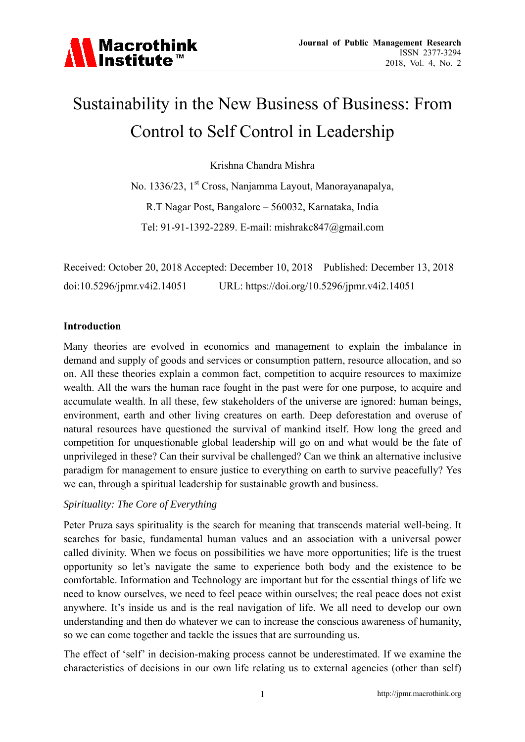

# Sustainability in the New Business of Business: From Control to Self Control in Leadership

Krishna Chandra Mishra

No. 1336/23, 1<sup>st</sup> Cross, Nanjamma Layout, Manorayanapalya, R.T Nagar Post, Bangalore – 560032, Karnataka, India Tel: 91-91-1392-2289. E-mail: mishrakc847@gmail.com

Received: October 20, 2018 Accepted: December 10, 2018 Published: December 13, 2018 doi:10.5296/jpmr.v4i2.14051 URL: https://doi.org/10.5296/jpmr.v4i2.14051

## **Introduction**

Many theories are evolved in economics and management to explain the imbalance in demand and supply of goods and services or consumption pattern, resource allocation, and so on. All these theories explain a common fact, competition to acquire resources to maximize wealth. All the wars the human race fought in the past were for one purpose, to acquire and accumulate wealth. In all these, few stakeholders of the universe are ignored: human beings, environment, earth and other living creatures on earth. Deep deforestation and overuse of natural resources have questioned the survival of mankind itself. How long the greed and competition for unquestionable global leadership will go on and what would be the fate of unprivileged in these? Can their survival be challenged? Can we think an alternative inclusive paradigm for management to ensure justice to everything on earth to survive peacefully? Yes we can, through a spiritual leadership for sustainable growth and business.

# *Spirituality: The Core of Everything*

Peter Pruza says spirituality is the search for meaning that transcends material well-being. It searches for basic, fundamental human values and an association with a universal power called divinity. When we focus on possibilities we have more opportunities; life is the truest opportunity so let's navigate the same to experience both body and the existence to be comfortable. Information and Technology are important but for the essential things of life we need to know ourselves, we need to feel peace within ourselves; the real peace does not exist anywhere. It's inside us and is the real navigation of life. We all need to develop our own understanding and then do whatever we can to increase the conscious awareness of humanity, so we can come together and tackle the issues that are surrounding us.

The effect of 'self' in decision-making process cannot be underestimated. If we examine the characteristics of decisions in our own life relating us to external agencies (other than self)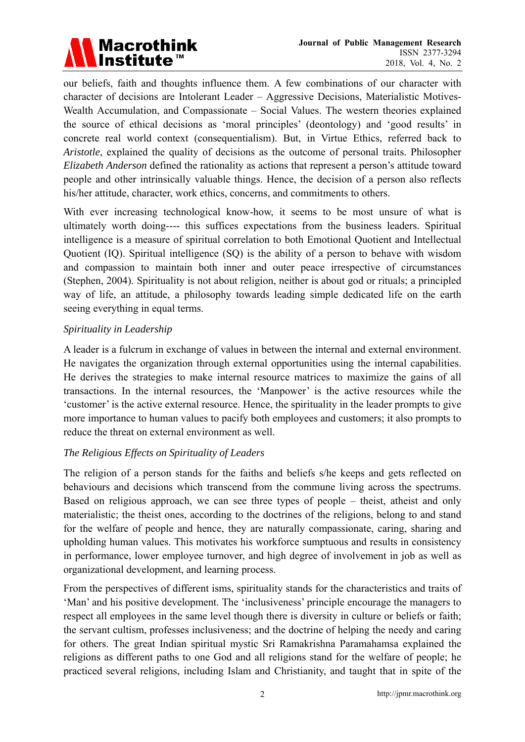

our beliefs, faith and thoughts influence them. A few combinations of our character with character of decisions are Intolerant Leader – Aggressive Decisions, Materialistic Motives-Wealth Accumulation, and Compassionate – Social Values. The western theories explained the source of ethical decisions as 'moral principles' (deontology) and 'good results' in concrete real world context (consequentialism). But, in Virtue Ethics, referred back to *Aristotle*, explained the quality of decisions as the outcome of personal traits. Philosopher *Elizabeth Anderson* defined the rationality as actions that represent a person's attitude toward people and other intrinsically valuable things. Hence, the decision of a person also reflects his/her attitude, character, work ethics, concerns, and commitments to others.

With ever increasing technological know-how, it seems to be most unsure of what is ultimately worth doing---- this suffices expectations from the business leaders. Spiritual intelligence is a measure of spiritual correlation to both Emotional Quotient and Intellectual Quotient (IQ). Spiritual intelligence (SQ) is the ability of a person to behave with wisdom and compassion to maintain both inner and outer peace irrespective of circumstances (Stephen, 2004). Spirituality is not about religion, neither is about god or rituals; a principled way of life, an attitude, a philosophy towards leading simple dedicated life on the earth seeing everything in equal terms.

## *Spirituality in Leadership*

A leader is a fulcrum in exchange of values in between the internal and external environment. He navigates the organization through external opportunities using the internal capabilities. He derives the strategies to make internal resource matrices to maximize the gains of all transactions. In the internal resources, the 'Manpower' is the active resources while the 'customer' is the active external resource. Hence, the spirituality in the leader prompts to give more importance to human values to pacify both employees and customers; it also prompts to reduce the threat on external environment as well.

# *The Religious Effects on Spirituality of Leaders*

The religion of a person stands for the faiths and beliefs s/he keeps and gets reflected on behaviours and decisions which transcend from the commune living across the spectrums. Based on religious approach, we can see three types of people – theist, atheist and only materialistic; the theist ones, according to the doctrines of the religions, belong to and stand for the welfare of people and hence, they are naturally compassionate, caring, sharing and upholding human values. This motivates his workforce sumptuous and results in consistency in performance, lower employee turnover, and high degree of involvement in job as well as organizational development, and learning process.

From the perspectives of different isms, spirituality stands for the characteristics and traits of 'Man' and his positive development. The 'inclusiveness' principle encourage the managers to respect all employees in the same level though there is diversity in culture or beliefs or faith; the servant cultism, professes inclusiveness; and the doctrine of helping the needy and caring for others. The great Indian spiritual mystic Sri Ramakrishna Paramahamsa explained the religions as different paths to one God and all religions stand for the welfare of people; he practiced several religions, including Islam and Christianity, and taught that in spite of the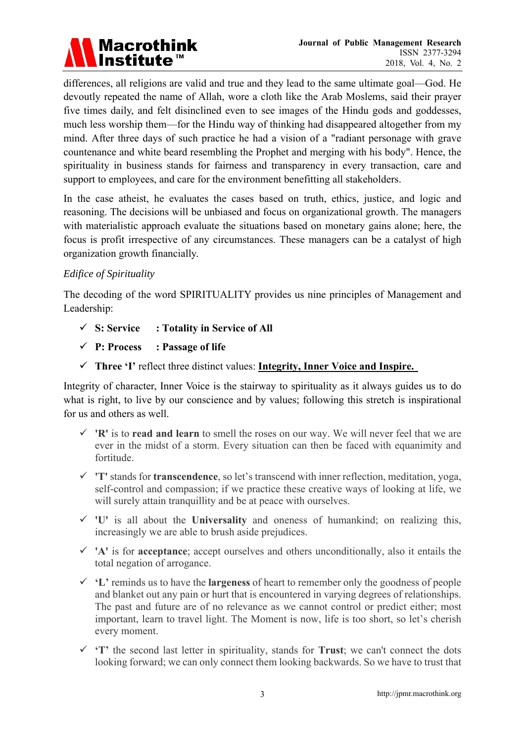

differences, all religions are valid and true and they lead to the same ultimate goal—God. He devoutly repeated the name of Allah, wore a cloth like the Arab Moslems, said their prayer five times daily, and felt disinclined even to see images of the Hindu gods and goddesses, much less worship them—for the Hindu way of thinking had disappeared altogether from my mind. After three days of such practice he had a vision of a "radiant personage with grave countenance and white beard resembling the Prophet and merging with his body". Hence, the spirituality in business stands for fairness and transparency in every transaction, care and support to employees, and care for the environment benefitting all stakeholders.

In the case atheist, he evaluates the cases based on truth, ethics, justice, and logic and reasoning. The decisions will be unbiased and focus on organizational growth. The managers with materialistic approach evaluate the situations based on monetary gains alone; here, the focus is profit irrespective of any circumstances. These managers can be a catalyst of high organization growth financially.

# *Edifice of Spirituality*

The decoding of the word SPIRITUALITY provides us nine principles of Management and Leadership:

- **S: Service : Totality in Service of All**
- **P: Process : Passage of life**
- **Three 'I'** reflect three distinct values: **Integrity, Inner Voice and Inspire.**

Integrity of character, Inner Voice is the stairway to spirituality as it always guides us to do what is right, to live by our conscience and by values; following this stretch is inspirational for us and others as well.

- $\checkmark$  **'R'** is to **read and learn** to smell the roses on our way. We will never feel that we are ever in the midst of a storm. Every situation can then be faced with equanimity and fortitude.
- **'T'** stands for **transcendence**, so let's transcend with inner reflection, meditation, yoga, self-control and compassion; if we practice these creative ways of looking at life, we will surely attain tranquillity and be at peace with ourselves.
- **'U'** is all about the **Universality** and oneness of humankind; on realizing this, increasingly we are able to brush aside prejudices.
- $\checkmark$  **'A'** is for **acceptance**; accept ourselves and others unconditionally, also it entails the total negation of arrogance.
- **'L'** reminds us to have the **largeness** of heart to remember only the goodness of people and blanket out any pain or hurt that is encountered in varying degrees of relationships. The past and future are of no relevance as we cannot control or predict either; most important, learn to travel light. The Moment is now, life is too short, so let's cherish every moment.
- $\checkmark$  **T** the second last letter in spirituality, stands for **Trust**; we can't connect the dots looking forward; we can only connect them looking backwards. So we have to trust that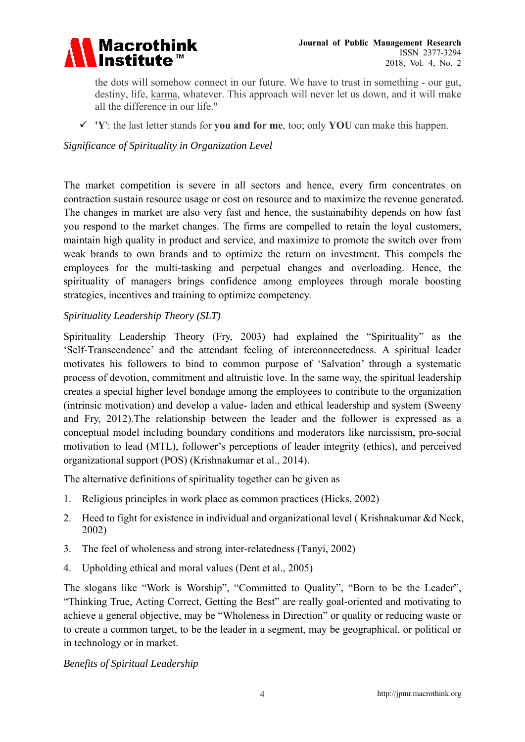

the dots will somehow connect in our future. We have to trust in something - our gut, destiny, life, karma, whatever. This approach will never let us down, and it will make all the difference in our life."

**'Y**': the last letter stands for **you and for me**, too; only **YOU** can make this happen.

*Significance of Spirituality in Organization Level* 

The market competition is severe in all sectors and hence, every firm concentrates on contraction sustain resource usage or cost on resource and to maximize the revenue generated. The changes in market are also very fast and hence, the sustainability depends on how fast you respond to the market changes. The firms are compelled to retain the loyal customers, maintain high quality in product and service, and maximize to promote the switch over from weak brands to own brands and to optimize the return on investment. This compels the employees for the multi-tasking and perpetual changes and overloading. Hence, the spirituality of managers brings confidence among employees through morale boosting strategies, incentives and training to optimize competency.

# *Spirituality Leadership Theory (SLT)*

Spirituality Leadership Theory (Fry, 2003) had explained the "Spirituality" as the 'Self-Transcendence' and the attendant feeling of interconnectedness. A spiritual leader motivates his followers to bind to common purpose of 'Salvation' through a systematic process of devotion, commitment and altruistic love. In the same way, the spiritual leadership creates a special higher level bondage among the employees to contribute to the organization (intrinsic motivation) and develop a value- laden and ethical leadership and system (Sweeny and Fry, 2012).The relationship between the leader and the follower is expressed as a conceptual model including boundary conditions and moderators like narcissism, pro-social motivation to lead (MTL), follower's perceptions of leader integrity (ethics), and perceived organizational support (POS) (Krishnakumar et al., 2014).

The alternative definitions of spirituality together can be given as

- 1. Religious principles in work place as common practices (Hicks, 2002)
- 2. Heed to fight for existence in individual and organizational level ( Krishnakumar &d Neck, 2002)
- 3. The feel of wholeness and strong inter-relatedness (Tanyi, 2002)
- 4. Upholding ethical and moral values (Dent et al., 2005)

The slogans like "Work is Worship", "Committed to Quality", "Born to be the Leader", "Thinking True, Acting Correct, Getting the Best" are really goal-oriented and motivating to achieve a general objective, may be "Wholeness in Direction" or quality or reducing waste or to create a common target, to be the leader in a segment, may be geographical, or political or in technology or in market.

#### *Benefits of Spiritual Leadership*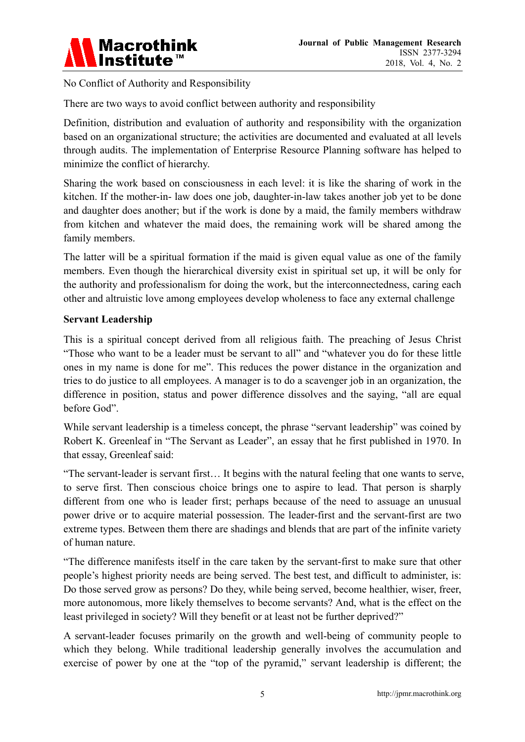

No Conflict of Authority and Responsibility

There are two ways to avoid conflict between authority and responsibility

Definition, distribution and evaluation of authority and responsibility with the organization based on an organizational structure; the activities are documented and evaluated at all levels through audits. The implementation of Enterprise Resource Planning software has helped to minimize the conflict of hierarchy.

Sharing the work based on consciousness in each level: it is like the sharing of work in the kitchen. If the mother-in- law does one job, daughter-in-law takes another job yet to be done and daughter does another; but if the work is done by a maid, the family members withdraw from kitchen and whatever the maid does, the remaining work will be shared among the family members.

The latter will be a spiritual formation if the maid is given equal value as one of the family members. Even though the hierarchical diversity exist in spiritual set up, it will be only for the authority and professionalism for doing the work, but the interconnectedness, caring each other and altruistic love among employees develop wholeness to face any external challenge

# **Servant Leadership**

This is a spiritual concept derived from all religious faith. The preaching of Jesus Christ "Those who want to be a leader must be servant to all" and "whatever you do for these little ones in my name is done for me". This reduces the power distance in the organization and tries to do justice to all employees. A manager is to do a scavenger job in an organization, the difference in position, status and power difference dissolves and the saying, "all are equal before God".

While servant leadership is a timeless concept, the phrase "servant leadership" was coined by Robert K. Greenleaf in "The Servant as Leader", an essay that he first published in 1970. In that essay, Greenleaf said:

"The servant-leader is servant first… It begins with the natural feeling that one wants to serve, to serve first. Then conscious choice brings one to aspire to lead. That person is sharply different from one who is leader first; perhaps because of the need to assuage an unusual power drive or to acquire material possession. The leader-first and the servant-first are two extreme types. Between them there are shadings and blends that are part of the infinite variety of human nature.

"The difference manifests itself in the care taken by the servant-first to make sure that other people's highest priority needs are being served. The best test, and difficult to administer, is: Do those served grow as persons? Do they, while being served, become healthier, wiser, freer, more autonomous, more likely themselves to become servants? And, what is the effect on the least privileged in society? Will they benefit or at least not be further deprived?"

A servant-leader focuses primarily on the growth and well-being of community people to which they belong. While traditional leadership generally involves the accumulation and exercise of power by one at the "top of the pyramid," servant leadership is different; the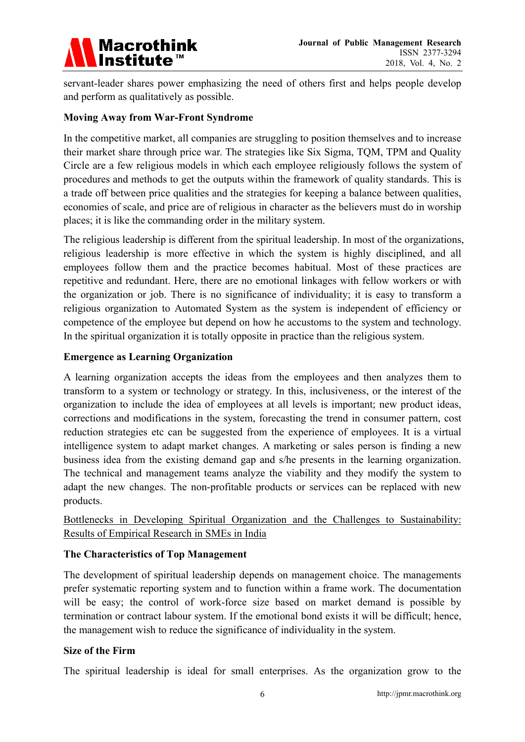

servant-leader shares power emphasizing the need of others first and helps people develop and perform as qualitatively as possible.

## **Moving Away from War-Front Syndrome**

In the competitive market, all companies are struggling to position themselves and to increase their market share through price war. The strategies like Six Sigma, TQM, TPM and Quality Circle are a few religious models in which each employee religiously follows the system of procedures and methods to get the outputs within the framework of quality standards. This is a trade off between price qualities and the strategies for keeping a balance between qualities, economies of scale, and price are of religious in character as the believers must do in worship places; it is like the commanding order in the military system.

The religious leadership is different from the spiritual leadership. In most of the organizations, religious leadership is more effective in which the system is highly disciplined, and all employees follow them and the practice becomes habitual. Most of these practices are repetitive and redundant. Here, there are no emotional linkages with fellow workers or with the organization or job. There is no significance of individuality; it is easy to transform a religious organization to Automated System as the system is independent of efficiency or competence of the employee but depend on how he accustoms to the system and technology. In the spiritual organization it is totally opposite in practice than the religious system.

## **Emergence as Learning Organization**

A learning organization accepts the ideas from the employees and then analyzes them to transform to a system or technology or strategy. In this, inclusiveness, or the interest of the organization to include the idea of employees at all levels is important; new product ideas, corrections and modifications in the system, forecasting the trend in consumer pattern, cost reduction strategies etc can be suggested from the experience of employees. It is a virtual intelligence system to adapt market changes. A marketing or sales person is finding a new business idea from the existing demand gap and s/he presents in the learning organization. The technical and management teams analyze the viability and they modify the system to adapt the new changes. The non-profitable products or services can be replaced with new products.

Bottlenecks in Developing Spiritual Organization and the Challenges to Sustainability: Results of Empirical Research in SMEs in India

# **The Characteristics of Top Management**

The development of spiritual leadership depends on management choice. The managements prefer systematic reporting system and to function within a frame work. The documentation will be easy; the control of work-force size based on market demand is possible by termination or contract labour system. If the emotional bond exists it will be difficult; hence, the management wish to reduce the significance of individuality in the system.

#### **Size of the Firm**

The spiritual leadership is ideal for small enterprises. As the organization grow to the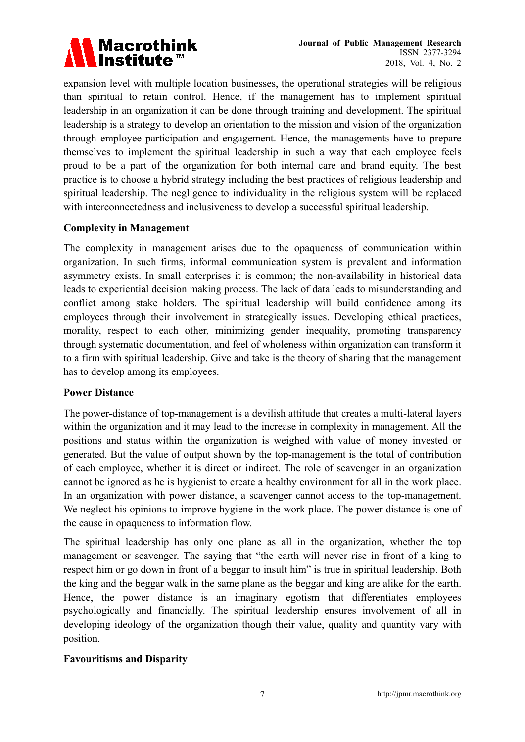

expansion level with multiple location businesses, the operational strategies will be religious than spiritual to retain control. Hence, if the management has to implement spiritual leadership in an organization it can be done through training and development. The spiritual leadership is a strategy to develop an orientation to the mission and vision of the organization through employee participation and engagement. Hence, the managements have to prepare themselves to implement the spiritual leadership in such a way that each employee feels proud to be a part of the organization for both internal care and brand equity. The best practice is to choose a hybrid strategy including the best practices of religious leadership and spiritual leadership. The negligence to individuality in the religious system will be replaced with interconnectedness and inclusiveness to develop a successful spiritual leadership.

## **Complexity in Management**

The complexity in management arises due to the opaqueness of communication within organization. In such firms, informal communication system is prevalent and information asymmetry exists. In small enterprises it is common; the non-availability in historical data leads to experiential decision making process. The lack of data leads to misunderstanding and conflict among stake holders. The spiritual leadership will build confidence among its employees through their involvement in strategically issues. Developing ethical practices, morality, respect to each other, minimizing gender inequality, promoting transparency through systematic documentation, and feel of wholeness within organization can transform it to a firm with spiritual leadership. Give and take is the theory of sharing that the management has to develop among its employees.

#### **Power Distance**

The power-distance of top-management is a devilish attitude that creates a multi-lateral layers within the organization and it may lead to the increase in complexity in management. All the positions and status within the organization is weighed with value of money invested or generated. But the value of output shown by the top-management is the total of contribution of each employee, whether it is direct or indirect. The role of scavenger in an organization cannot be ignored as he is hygienist to create a healthy environment for all in the work place. In an organization with power distance, a scavenger cannot access to the top-management. We neglect his opinions to improve hygiene in the work place. The power distance is one of the cause in opaqueness to information flow.

The spiritual leadership has only one plane as all in the organization, whether the top management or scavenger. The saying that "the earth will never rise in front of a king to respect him or go down in front of a beggar to insult him" is true in spiritual leadership. Both the king and the beggar walk in the same plane as the beggar and king are alike for the earth. Hence, the power distance is an imaginary egotism that differentiates employees psychologically and financially. The spiritual leadership ensures involvement of all in developing ideology of the organization though their value, quality and quantity vary with position.

# **Favouritisms and Disparity**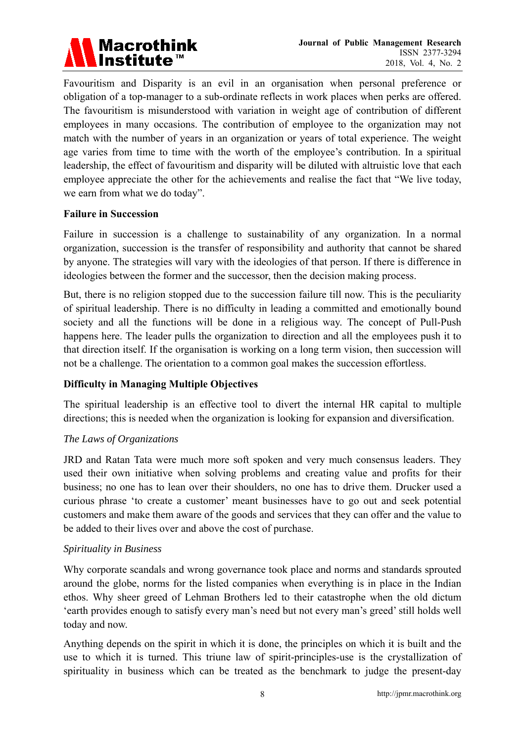

Favouritism and Disparity is an evil in an organisation when personal preference or obligation of a top-manager to a sub-ordinate reflects in work places when perks are offered. The favouritism is misunderstood with variation in weight age of contribution of different employees in many occasions. The contribution of employee to the organization may not match with the number of years in an organization or years of total experience. The weight age varies from time to time with the worth of the employee's contribution. In a spiritual leadership, the effect of favouritism and disparity will be diluted with altruistic love that each employee appreciate the other for the achievements and realise the fact that "We live today, we earn from what we do today".

## **Failure in Succession**

Failure in succession is a challenge to sustainability of any organization. In a normal organization, succession is the transfer of responsibility and authority that cannot be shared by anyone. The strategies will vary with the ideologies of that person. If there is difference in ideologies between the former and the successor, then the decision making process.

But, there is no religion stopped due to the succession failure till now. This is the peculiarity of spiritual leadership. There is no difficulty in leading a committed and emotionally bound society and all the functions will be done in a religious way. The concept of Pull-Push happens here. The leader pulls the organization to direction and all the employees push it to that direction itself. If the organisation is working on a long term vision, then succession will not be a challenge. The orientation to a common goal makes the succession effortless.

# **Difficulty in Managing Multiple Objectives**

The spiritual leadership is an effective tool to divert the internal HR capital to multiple directions; this is needed when the organization is looking for expansion and diversification.

# *The Laws of Organizations*

JRD and Ratan Tata were much more soft spoken and very much consensus leaders. They used their own initiative when solving problems and creating value and profits for their business; no one has to lean over their shoulders, no one has to drive them. Drucker used a curious phrase 'to create a customer' meant businesses have to go out and seek potential customers and make them aware of the goods and services that they can offer and the value to be added to their lives over and above the cost of purchase.

#### *Spirituality in Business*

Why corporate scandals and wrong governance took place and norms and standards sprouted around the globe, norms for the listed companies when everything is in place in the Indian ethos. Why sheer greed of Lehman Brothers led to their catastrophe when the old dictum 'earth provides enough to satisfy every man's need but not every man's greed' still holds well today and now.

Anything depends on the spirit in which it is done, the principles on which it is built and the use to which it is turned. This triune law of spirit-principles-use is the crystallization of spirituality in business which can be treated as the benchmark to judge the present-day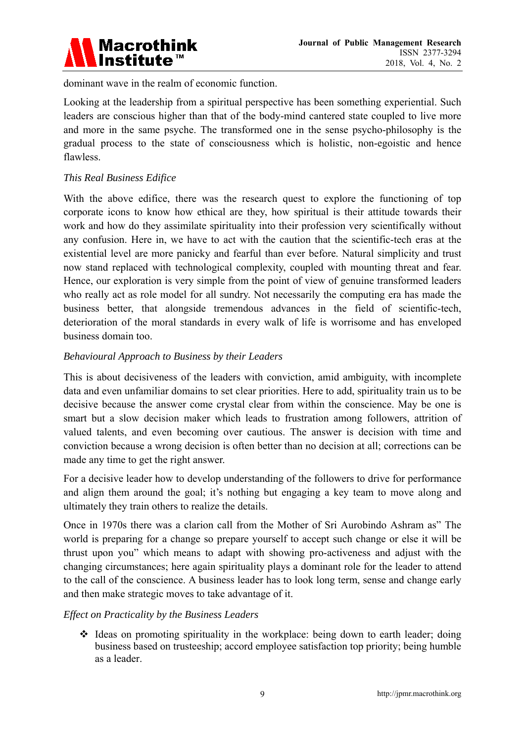

dominant wave in the realm of economic function.

Looking at the leadership from a spiritual perspective has been something experiential. Such leaders are conscious higher than that of the body-mind cantered state coupled to live more and more in the same psyche. The transformed one in the sense psycho-philosophy is the gradual process to the state of consciousness which is holistic, non-egoistic and hence flawless.

## *This Real Business Edifice*

With the above edifice, there was the research quest to explore the functioning of top corporate icons to know how ethical are they, how spiritual is their attitude towards their work and how do they assimilate spirituality into their profession very scientifically without any confusion. Here in, we have to act with the caution that the scientific-tech eras at the existential level are more panicky and fearful than ever before. Natural simplicity and trust now stand replaced with technological complexity, coupled with mounting threat and fear. Hence, our exploration is very simple from the point of view of genuine transformed leaders who really act as role model for all sundry. Not necessarily the computing era has made the business better, that alongside tremendous advances in the field of scientific-tech, deterioration of the moral standards in every walk of life is worrisome and has enveloped business domain too.

# *Behavioural Approach to Business by their Leaders*

This is about decisiveness of the leaders with conviction, amid ambiguity, with incomplete data and even unfamiliar domains to set clear priorities. Here to add, spirituality train us to be decisive because the answer come crystal clear from within the conscience. May be one is smart but a slow decision maker which leads to frustration among followers, attrition of valued talents, and even becoming over cautious. The answer is decision with time and conviction because a wrong decision is often better than no decision at all; corrections can be made any time to get the right answer.

For a decisive leader how to develop understanding of the followers to drive for performance and align them around the goal; it's nothing but engaging a key team to move along and ultimately they train others to realize the details.

Once in 1970s there was a clarion call from the Mother of Sri Aurobindo Ashram as" The world is preparing for a change so prepare yourself to accept such change or else it will be thrust upon you" which means to adapt with showing pro-activeness and adjust with the changing circumstances; here again spirituality plays a dominant role for the leader to attend to the call of the conscience. A business leader has to look long term, sense and change early and then make strategic moves to take advantage of it.

#### *Effect on Practicality by the Business Leaders*

 $\div$  Ideas on promoting spirituality in the workplace: being down to earth leader; doing business based on trusteeship; accord employee satisfaction top priority; being humble as a leader.